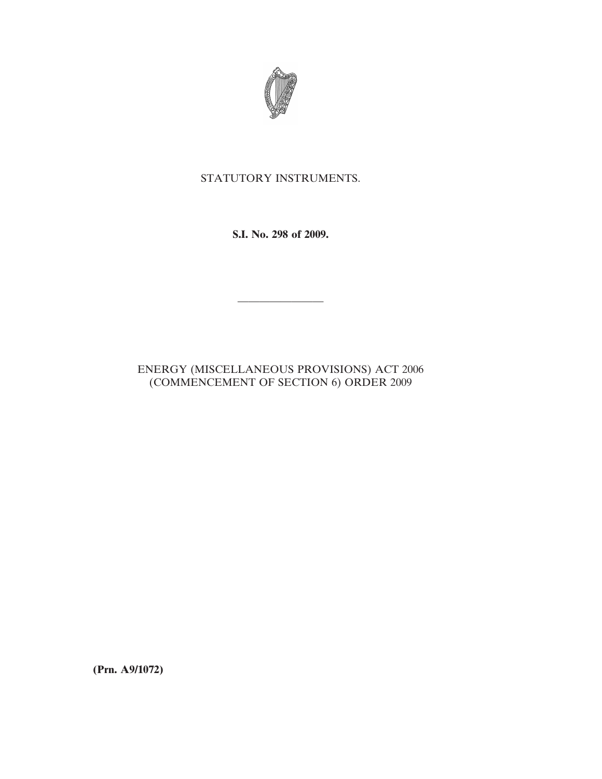

## STATUTORY INSTRUMENTS.

**S.I. No. 298 of 2009.**

## ENERGY (MISCELLANEOUS PROVISIONS) ACT 2006 (COMMENCEMENT OF SECTION 6) ORDER 2009

————————

**(Prn. A9/1072)**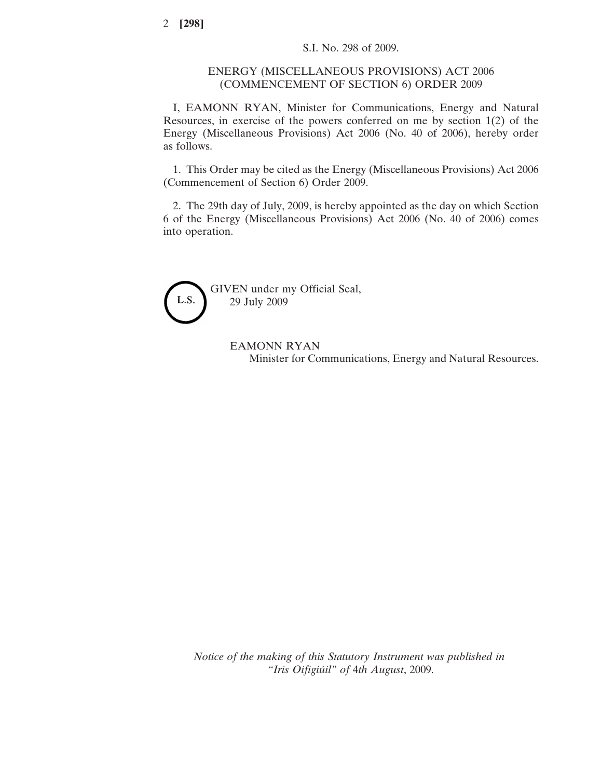## ENERGY (MISCELLANEOUS PROVISIONS) ACT 2006 (COMMENCEMENT OF SECTION 6) ORDER 2009

I, EAMONN RYAN, Minister for Communications, Energy and Natural Resources, in exercise of the powers conferred on me by section 1(2) of the Energy (Miscellaneous Provisions) Act 2006 (No. 40 of 2006), hereby order as follows.

1. This Order may be cited as the Energy (Miscellaneous Provisions) Act 2006 (Commencement of Section 6) Order 2009.

2. The 29th day of July, 2009, is hereby appointed as the day on which Section 6 of the Energy (Miscellaneous Provisions) Act 2006 (No. 40 of 2006) comes into operation.



EAMONN RYAN Minister for Communications, Energy and Natural Resources.

*Notice of the making of this Statutory Instrument was published in "Iris Oifigiu´il" of* 4*th August*, 2009.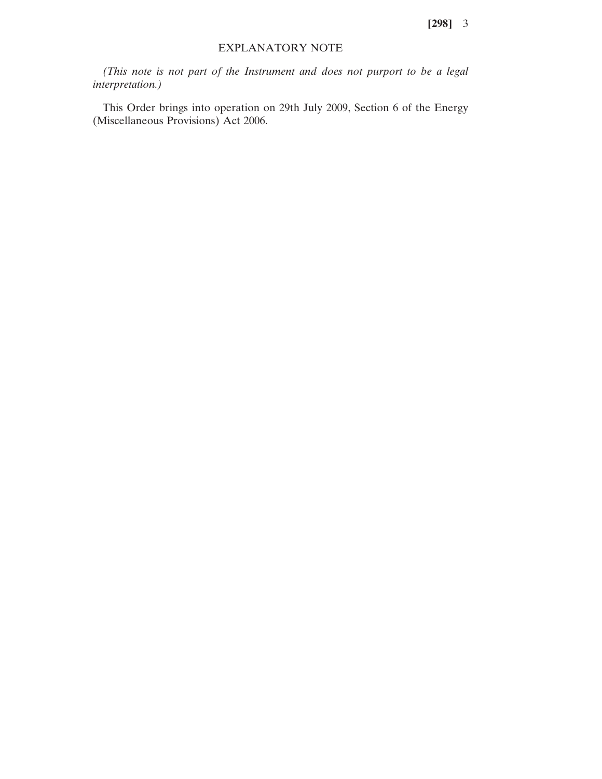**[298]** 3

## EXPLANATORY NOTE

*(This note is not part of the Instrument and does not purport to be a legal interpretation.)*

This Order brings into operation on 29th July 2009, Section 6 of the Energy (Miscellaneous Provisions) Act 2006.